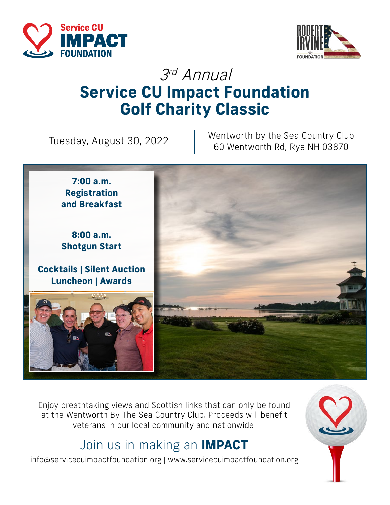



## 3rd Annual **Service CU Impact Foundation Golf Charity Classic**

Tuesday, August 30, 2022 Wentworth by the Sea Country Club 60 Wentworth Rd, Rye NH 03870

**7:00 a.m. Registration and Breakfast**

**8:00 a.m. Shotgun Start**

**Cocktails | Silent Auction Luncheon | Awards**





Enjoy breathtaking views and Scottish links that can only be found at the Wentworth By The Sea Country Club. Proceeds will benefit veterans in our local community and nationwide.

## Join us in making an **IMPACT**

info@servicecuimpactfoundation.org | www.servicecuimpactfoundation.org

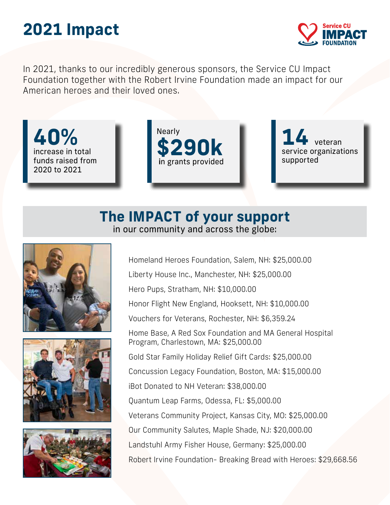# **2021 Impact**



In 2021, thanks to our incredibly generous sponsors, the Service CU Impact Foundation together with the Robert Irvine Foundation made an impact for our American heroes and their loved ones.

**40%** increase in total funds raised from 2020 to 2021



**14** veteran service organizations supported

### **The IMPACT of your support**



in our community and across the globe:





Homeland Heroes Foundation, Salem, NH: \$25,000.00

Liberty House Inc., Manchester, NH: \$25,000.00

Hero Pups, Stratham, NH: \$10,000.00

Honor Flight New England, Hooksett, NH: \$10,000.00

Vouchers for Veterans, Rochester, NH: \$6,359.24

Home Base, A Red Sox Foundation and MA General Hospital Program, Charlestown, MA: \$25,000.00 Gold Star Family Holiday Relief Gift Cards: \$25,000.00 Concussion Legacy Foundation, Boston, MA: \$15,000.00 iBot Donated to NH Veteran: \$38,000.00 Quantum Leap Farms, Odessa, FL: \$5,000.00 Veterans Community Project, Kansas City, MO: \$25,000.00 Our Community Salutes, Maple Shade, NJ: \$20,000.00 Landstuhl Army Fisher House, Germany: \$25,000.00 Robert Irvine Foundation- Breaking Bread with Heroes: \$29,668.56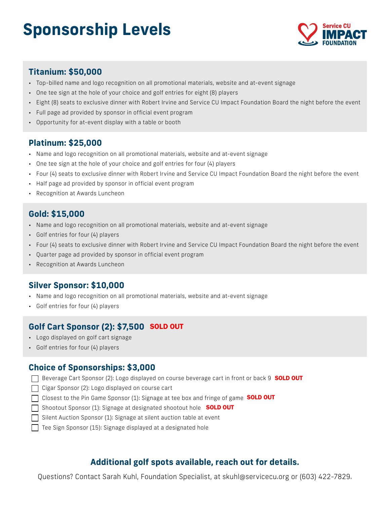# **Sponsorship Levels**



### **Titanium: \$50,000**

- Top-billed name and logo recognition on all promotional materials, website and at-event signage
- One tee sign at the hole of your choice and golf entries for eight (8) players
- Eight (8) seats to exclusive dinner with Robert Irvine and Service CU Impact Foundation Board the night before the event
- Full page ad provided by sponsor in official event program
- Opportunity for at-event display with a table or booth

#### **Platinum: \$25,000**

- Name and logo recognition on all promotional materials, website and at-event signage
- One tee sign at the hole of your choice and golf entries for four (4) players
- Four (4) seats to exclusive dinner with Robert Irvine and Service CU Impact Foundation Board the night before the event
- Half page ad provided by sponsor in official event program
- Recognition at Awards Luncheon

#### **Gold: \$15,000**

- Name and logo recognition on all promotional materials, website and at-event signage
- Golf entries for four (4) players
- Four (4) seats to exclusive dinner with Robert Irvine and Service CU Impact Foundation Board the night before the event
- Quarter page ad provided by sponsor in official event program
- Recognition at Awards Luncheon

#### **Silver Sponsor: \$10,000**

- Name and logo recognition on all promotional materials, website and at-event signage
- Golf entries for four (4) players

#### **Golf Cart Sponsor (2): \$7,500** SOLD OUT

- Logo displayed on golf cart signage
- Golf entries for four (4) players

#### **Choice of Sponsorships: \$3,000**

Beverage Cart Sponsor (2): Logo displayed on course beverage cart in front or back 9 SOLD OUT

 $\Box$  Cigar Sponsor (2): Logo displayed on course cart

Closest to the Pin Game Sponsor (1): Signage at tee box and fringe of game **SOLD OUT** 

Shootout Sponsor (1): Signage at designated shootout hole **SOLD OUT** 

- $\Box$  Silent Auction Sponsor (1): Signage at silent auction table at event
- $\Box$  Tee Sign Sponsor (15): Signage displayed at a designated hole

### **Additional golf spots available, reach out for details.**

Questions? Contact Sarah Kuhl, Foundation Specialist, at skuhl@servicecu.org or (603) 422-7829.